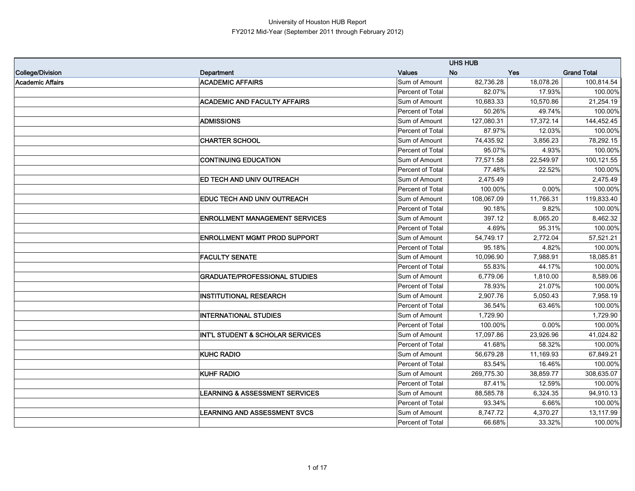|                         |                                             |                  | <b>UHS HUB</b> |            |                    |
|-------------------------|---------------------------------------------|------------------|----------------|------------|--------------------|
| <b>College/Division</b> | Department                                  | <b>Values</b>    | <b>No</b>      | <b>Yes</b> | <b>Grand Total</b> |
| <b>Academic Affairs</b> | <b>ACADEMIC AFFAIRS</b>                     | Sum of Amount    | 82,736.28      | 18,078.26  | 100,814.54         |
|                         |                                             | Percent of Total | 82.07%         | 17.93%     | 100.00%            |
|                         | <b>ACADEMIC AND FACULTY AFFAIRS</b>         | Sum of Amount    | 10,683.33      | 10,570.86  | 21,254.19          |
|                         |                                             | Percent of Total | 50.26%         | 49.74%     | 100.00%            |
|                         | <b>ADMISSIONS</b>                           | Sum of Amount    | 127,080.31     | 17,372.14  | 144,452.45         |
|                         |                                             | Percent of Total | 87.97%         | 12.03%     | 100.00%            |
|                         | <b>CHARTER SCHOOL</b>                       | Sum of Amount    | 74,435.92      | 3,856.23   | 78,292.15          |
|                         |                                             | Percent of Total | 95.07%         | 4.93%      | 100.00%            |
|                         | <b>CONTINUING EDUCATION</b>                 | Sum of Amount    | 77,571.58      | 22,549.97  | 100,121.55         |
|                         |                                             | Percent of Total | 77.48%         | 22.52%     | 100.00%            |
|                         | ED TECH AND UNIV OUTREACH                   | Sum of Amount    | 2,475.49       |            | 2,475.49           |
|                         |                                             | Percent of Total | 100.00%        | 0.00%      | 100.00%            |
|                         | EDUC TECH AND UNIV OUTREACH                 | Sum of Amount    | 108,067.09     | 11,766.31  | 119,833.40         |
|                         |                                             | Percent of Total | 90.18%         | 9.82%      | 100.00%            |
|                         | <b>ENROLLMENT MANAGEMENT SERVICES</b>       | Sum of Amount    | 397.12         | 8,065.20   | 8,462.32           |
|                         |                                             | Percent of Total | 4.69%          | 95.31%     | 100.00%            |
|                         | <b>ENROLLMENT MGMT PROD SUPPORT</b>         | Sum of Amount    | 54,749.17      | 2,772.04   | 57,521.21          |
|                         |                                             | Percent of Total | 95.18%         | 4.82%      | 100.00%            |
|                         | <b>FACULTY SENATE</b>                       | Sum of Amount    | 10,096.90      | 7,988.91   | 18,085.81          |
|                         |                                             | Percent of Total | 55.83%         | 44.17%     | 100.00%            |
|                         | <b>GRADUATE/PROFESSIONAL STUDIES</b>        | Sum of Amount    | 6,779.06       | 1,810.00   | 8,589.06           |
|                         |                                             | Percent of Total | 78.93%         | 21.07%     | 100.00%            |
|                         | <b>INSTITUTIONAL RESEARCH</b>               | Sum of Amount    | 2,907.76       | 5,050.43   | 7,958.19           |
|                         |                                             | Percent of Total | 36.54%         | 63.46%     | 100.00%            |
|                         | <b>INTERNATIONAL STUDIES</b>                | Sum of Amount    | 1,729.90       |            | 1,729.90           |
|                         |                                             | Percent of Total | 100.00%        | 0.00%      | 100.00%            |
|                         | <b>INT'L STUDENT &amp; SCHOLAR SERVICES</b> | Sum of Amount    | 17,097.86      | 23,926.96  | 41,024.82          |
|                         |                                             | Percent of Total | 41.68%         | 58.32%     | 100.00%            |
|                         | <b>KUHC RADIO</b>                           | Sum of Amount    | 56,679.28      | 11,169.93  | 67,849.21          |
|                         |                                             | Percent of Total | 83.54%         | 16.46%     | 100.00%            |
|                         | <b>KUHF RADIO</b>                           | Sum of Amount    | 269,775.30     | 38,859.77  | 308,635.07         |
|                         |                                             | Percent of Total | 87.41%         | 12.59%     | 100.00%            |
|                         | <b>LEARNING &amp; ASSESSMENT SERVICES</b>   | Sum of Amount    | 88,585.78      | 6,324.35   | 94,910.13          |
|                         |                                             | Percent of Total | 93.34%         | 6.66%      | 100.00%            |
|                         | <b>LEARNING AND ASSESSMENT SVCS</b>         | Sum of Amount    | 8,747.72       | 4,370.27   | 13,117.99          |
|                         |                                             | Percent of Total | 66.68%         | 33.32%     | 100.00%            |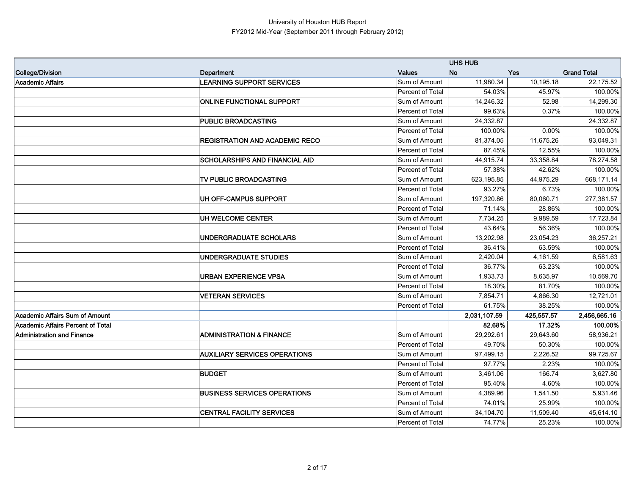|                                          |                                       |                  | <b>UHS HUB</b> |            |                    |
|------------------------------------------|---------------------------------------|------------------|----------------|------------|--------------------|
| <b>College/Division</b>                  | Department                            | <b>Values</b>    | <b>No</b>      | <b>Yes</b> | <b>Grand Total</b> |
| <b>Academic Affairs</b>                  | LEARNING SUPPORT SERVICES             | Sum of Amount    | 11,980.34      | 10,195.18  | 22,175.52          |
|                                          |                                       | Percent of Total | 54.03%         | 45.97%     | 100.00%            |
|                                          | <b>ONLINE FUNCTIONAL SUPPORT</b>      | Sum of Amount    | 14,246.32      | 52.98      | 14,299.30          |
|                                          |                                       | Percent of Total | 99.63%         | 0.37%      | 100.00%            |
|                                          | PUBLIC BROADCASTING                   | Sum of Amount    | 24,332.87      |            | 24,332.87          |
|                                          |                                       | Percent of Total | 100.00%        | 0.00%      | 100.00%            |
|                                          | <b>REGISTRATION AND ACADEMIC RECO</b> | Sum of Amount    | 81,374.05      | 11,675.26  | 93,049.31          |
|                                          |                                       | Percent of Total | 87.45%         | 12.55%     | 100.00%            |
|                                          | <b>SCHOLARSHIPS AND FINANCIAL AID</b> | Sum of Amount    | 44,915.74      | 33,358.84  | 78,274.58          |
|                                          |                                       | Percent of Total | 57.38%         | 42.62%     | 100.00%            |
|                                          | TV PUBLIC BROADCASTING                | Sum of Amount    | 623,195.85     | 44,975.29  | 668,171.14         |
|                                          |                                       | Percent of Total | 93.27%         | 6.73%      | 100.00%            |
|                                          | UH OFF-CAMPUS SUPPORT                 | Sum of Amount    | 197,320.86     | 80,060.71  | 277,381.57         |
|                                          |                                       | Percent of Total | 71.14%         | 28.86%     | 100.00%            |
|                                          | UH WELCOME CENTER                     | Sum of Amount    | 7,734.25       | 9,989.59   | 17,723.84          |
|                                          |                                       | Percent of Total | 43.64%         | 56.36%     | 100.00%            |
|                                          | UNDERGRADUATE SCHOLARS                | Sum of Amount    | 13,202.98      | 23,054.23  | 36,257.21          |
|                                          |                                       | Percent of Total | 36.41%         | 63.59%     | 100.00%            |
|                                          | UNDERGRADUATE STUDIES                 | Sum of Amount    | 2,420.04       | 4,161.59   | 6,581.63           |
|                                          |                                       | Percent of Total | 36.77%         | 63.23%     | 100.00%            |
|                                          | <b>URBAN EXPERIENCE VPSA</b>          | Sum of Amount    | 1,933.73       | 8,635.97   | 10,569.70          |
|                                          |                                       | Percent of Total | 18.30%         | 81.70%     | 100.00%            |
|                                          | <b>VETERAN SERVICES</b>               | Sum of Amount    | 7,854.71       | 4,866.30   | 12,721.01          |
|                                          |                                       | Percent of Total | 61.75%         | 38.25%     | 100.00%            |
| <b>Academic Affairs Sum of Amount</b>    |                                       |                  | 2,031,107.59   | 425,557.57 | 2,456,665.16       |
| <b>Academic Affairs Percent of Total</b> |                                       |                  | 82.68%         | 17.32%     | 100.00%            |
| Administration and Finance               | <b>ADMINISTRATION &amp; FINANCE</b>   | Sum of Amount    | 29,292.61      | 29,643.60  | 58,936.21          |
|                                          |                                       | Percent of Total | 49.70%         | 50.30%     | 100.00%            |
|                                          | <b>AUXILIARY SERVICES OPERATIONS</b>  | Sum of Amount    | 97,499.15      | 2,226.52   | 99,725.67          |
|                                          |                                       | Percent of Total | 97.77%         | 2.23%      | 100.00%            |
|                                          | <b>BUDGET</b>                         | Sum of Amount    | 3,461.06       | 166.74     | 3,627.80           |
|                                          |                                       | Percent of Total | 95.40%         | 4.60%      | 100.00%            |
|                                          | <b>BUSINESS SERVICES OPERATIONS</b>   | Sum of Amount    | 4,389.96       | 1,541.50   | 5,931.46           |
|                                          |                                       | Percent of Total | 74.01%         | 25.99%     | 100.00%            |
|                                          | <b>CENTRAL FACILITY SERVICES</b>      | Sum of Amount    | 34,104.70      | 11,509.40  | 45,614.10          |
|                                          |                                       | Percent of Total | 74.77%         | 25.23%     | 100.00%            |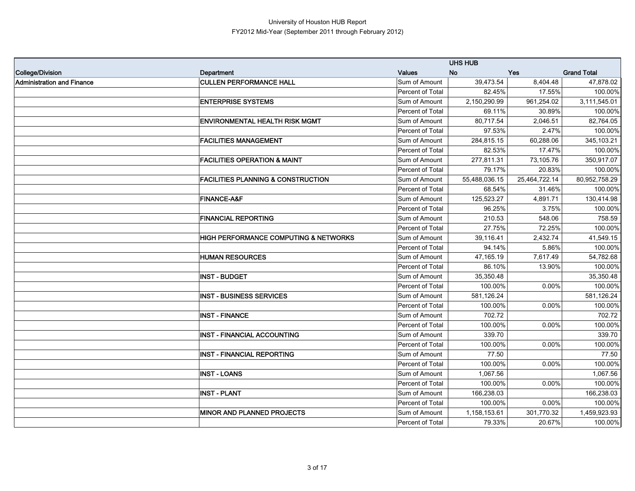|                                   |                                                  |                         | <b>UHS HUB</b> |               |                    |
|-----------------------------------|--------------------------------------------------|-------------------------|----------------|---------------|--------------------|
| College/Division                  | Department                                       | <b>Values</b>           | <b>No</b>      | <b>Yes</b>    | <b>Grand Total</b> |
| <b>Administration and Finance</b> | <b>CULLEN PERFORMANCE HALL</b>                   | Sum of Amount           | 39,473.54      | 8,404.48      | 47,878.02          |
|                                   |                                                  | <b>Percent of Total</b> | 82.45%         | 17.55%        | 100.00%            |
|                                   | <b>ENTERPRISE SYSTEMS</b>                        | Sum of Amount           | 2,150,290.99   | 961,254.02    | 3,111,545.01       |
|                                   |                                                  | <b>Percent of Total</b> | 69.11%         | 30.89%        | 100.00%            |
|                                   | <b>ENVIRONMENTAL HEALTH RISK MGMT</b>            | Sum of Amount           | 80,717.54      | 2,046.51      | 82,764.05          |
|                                   |                                                  | Percent of Total        | 97.53%         | 2.47%         | 100.00%            |
|                                   | <b>FACILITIES MANAGEMENT</b>                     | Sum of Amount           | 284,815.15     | 60,288.06     | 345,103.21         |
|                                   |                                                  | <b>Percent of Total</b> | 82.53%         | 17.47%        | 100.00%            |
|                                   | <b>FACILITIES OPERATION &amp; MAINT</b>          | Sum of Amount           | 277,811.31     | 73,105.76     | 350,917.07         |
|                                   |                                                  | Percent of Total        | 79.17%         | 20.83%        | 100.00%            |
|                                   | <b>FACILITIES PLANNING &amp; CONSTRUCTION</b>    | Sum of Amount           | 55,488,036.15  | 25,464,722.14 | 80,952,758.29      |
|                                   |                                                  | Percent of Total        | 68.54%         | 31.46%        | 100.00%            |
|                                   | <b>FINANCE-A&amp;F</b>                           | Sum of Amount           | 125,523.27     | 4,891.71      | 130,414.98         |
|                                   |                                                  | Percent of Total        | 96.25%         | 3.75%         | 100.00%            |
|                                   | <b>FINANCIAL REPORTING</b>                       | Sum of Amount           | 210.53         | 548.06        | 758.59             |
|                                   |                                                  | <b>Percent of Total</b> | 27.75%         | 72.25%        | 100.00%            |
|                                   | <b>HIGH PERFORMANCE COMPUTING &amp; NETWORKS</b> | Sum of Amount           | 39,116.41      | 2,432.74      | 41,549.15          |
|                                   |                                                  | Percent of Total        | 94.14%         | 5.86%         | 100.00%            |
|                                   | <b>HUMAN RESOURCES</b>                           | Sum of Amount           | 47,165.19      | 7,617.49      | 54,782.68          |
|                                   |                                                  | Percent of Total        | 86.10%         | 13.90%        | 100.00%            |
|                                   | <b>INST - BUDGET</b>                             | Sum of Amount           | 35,350.48      |               | 35,350.48          |
|                                   |                                                  | Percent of Total        | 100.00%        | 0.00%         | 100.00%            |
|                                   | <b>INST - BUSINESS SERVICES</b>                  | Sum of Amount           | 581,126.24     |               | 581,126.24         |
|                                   |                                                  | Percent of Total        | 100.00%        | 0.00%         | 100.00%            |
|                                   | <b>INST - FINANCE</b>                            | Sum of Amount           | 702.72         |               | 702.72             |
|                                   |                                                  | Percent of Total        | 100.00%        | 0.00%         | 100.00%            |
|                                   | <b>INST - FINANCIAL ACCOUNTING</b>               | Sum of Amount           | 339.70         |               | 339.70             |
|                                   |                                                  | Percent of Total        | 100.00%        | 0.00%         | 100.00%            |
|                                   | <b>INST - FINANCIAL REPORTING</b>                | Sum of Amount           | 77.50          |               | 77.50              |
|                                   |                                                  | Percent of Total        | 100.00%        | 0.00%         | 100.00%            |
|                                   | <b>INST - LOANS</b>                              | Sum of Amount           | 1,067.56       |               | 1,067.56           |
|                                   |                                                  | <b>Percent of Total</b> | 100.00%        | 0.00%         | 100.00%            |
|                                   | <b>INST - PLANT</b>                              | Sum of Amount           | 166,238.03     |               | 166,238.03         |
|                                   |                                                  | Percent of Total        | 100.00%        | 0.00%         | 100.00%            |
|                                   | <b>IMINOR AND PLANNED PROJECTS</b>               | Sum of Amount           | 1,158,153.61   | 301,770.32    | 1,459,923.93       |
|                                   |                                                  | Percent of Total        | 79.33%         | 20.67%        | 100.00%            |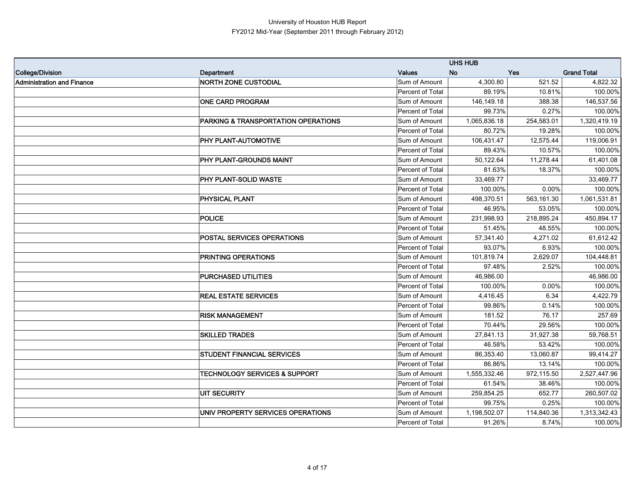|                                   |                                                |                  | <b>UHS HUB</b> |            |                    |
|-----------------------------------|------------------------------------------------|------------------|----------------|------------|--------------------|
| College/Division                  | Department                                     | <b>Values</b>    | <b>No</b>      | <b>Yes</b> | <b>Grand Total</b> |
| <b>Administration and Finance</b> | <b>NORTH ZONE CUSTODIAL</b>                    | Sum of Amount    | 4,300.80       | 521.52     | 4,822.32           |
|                                   |                                                | Percent of Total | 89.19%         | 10.81%     | 100.00%            |
|                                   | <b>ONE CARD PROGRAM</b>                        | Sum of Amount    | 146,149.18     | 388.38     | 146,537.56         |
|                                   |                                                | Percent of Total | 99.73%         | 0.27%      | 100.00%            |
|                                   | <b>PARKING &amp; TRANSPORTATION OPERATIONS</b> | Sum of Amount    | 1,065,836.18   | 254,583.01 | 1,320,419.19       |
|                                   |                                                | Percent of Total | 80.72%         | 19.28%     | 100.00%            |
|                                   | PHY PLANT-AUTOMOTIVE                           | Sum of Amount    | 106,431.47     | 12,575.44  | 119,006.91         |
|                                   |                                                | Percent of Total | 89.43%         | 10.57%     | 100.00%            |
|                                   | PHY PLANT-GROUNDS MAINT                        | Sum of Amount    | 50,122.64      | 11,278.44  | 61,401.08          |
|                                   |                                                | Percent of Total | 81.63%         | 18.37%     | 100.00%            |
|                                   | PHY PLANT-SOLID WASTE                          | Sum of Amount    | 33,469.77      |            | 33,469.77          |
|                                   |                                                | Percent of Total | 100.00%        | 0.00%      | 100.00%            |
|                                   | PHYSICAL PLANT                                 | Sum of Amount    | 498,370.51     | 563,161.30 | 1,061,531.81       |
|                                   |                                                | Percent of Total | 46.95%         | 53.05%     | 100.00%            |
|                                   | <b>POLICE</b>                                  | Sum of Amount    | 231,998.93     | 218,895.24 | 450,894.17         |
|                                   |                                                | Percent of Total | 51.45%         | 48.55%     | 100.00%            |
|                                   | POSTAL SERVICES OPERATIONS                     | Sum of Amount    | 57,341.40      | 4,271.02   | 61,612.42          |
|                                   |                                                | Percent of Total | 93.07%         | 6.93%      | 100.00%            |
|                                   | PRINTING OPERATIONS                            | Sum of Amount    | 101,819.74     | 2,629.07   | 104,448.81         |
|                                   |                                                | Percent of Total | 97.48%         | 2.52%      | 100.00%            |
|                                   | PURCHASED UTILITIES                            | Sum of Amount    | 46,986.00      |            | 46,986.00          |
|                                   |                                                | Percent of Total | 100.00%        | 0.00%      | 100.00%            |
|                                   | <b>REAL ESTATE SERVICES</b>                    | Sum of Amount    | 4,416.45       | 6.34       | 4,422.79           |
|                                   |                                                | Percent of Total | 99.86%         | 0.14%      | 100.00%            |
|                                   | <b>RISK MANAGEMENT</b>                         | Sum of Amount    | 181.52         | 76.17      | 257.69             |
|                                   |                                                | Percent of Total | 70.44%         | 29.56%     | 100.00%            |
|                                   | <b>SKILLED TRADES</b>                          | Sum of Amount    | 27,841.13      | 31,927.38  | 59,768.51          |
|                                   |                                                | Percent of Total | 46.58%         | 53.42%     | 100.00%            |
|                                   | <b>STUDENT FINANCIAL SERVICES</b>              | Sum of Amount    | 86,353.40      | 13,060.87  | 99,414.27          |
|                                   |                                                | Percent of Total | 86.86%         | 13.14%     | 100.00%            |
|                                   | <b>TECHNOLOGY SERVICES &amp; SUPPORT</b>       | Sum of Amount    | 1,555,332.46   | 972,115.50 | 2,527,447.96       |
|                                   |                                                | Percent of Total | 61.54%         | 38.46%     | 100.00%            |
|                                   | <b>UIT SECURITY</b>                            | Sum of Amount    | 259,854.25     | 652.77     | 260,507.02         |
|                                   |                                                | Percent of Total | 99.75%         | 0.25%      | 100.00%            |
|                                   | UNIV PROPERTY SERVICES OPERATIONS              | Sum of Amount    | 1,198,502.07   | 114,840.36 | 1,313,342.43       |
|                                   |                                                | Percent of Total | 91.26%         | 8.74%      | 100.00%            |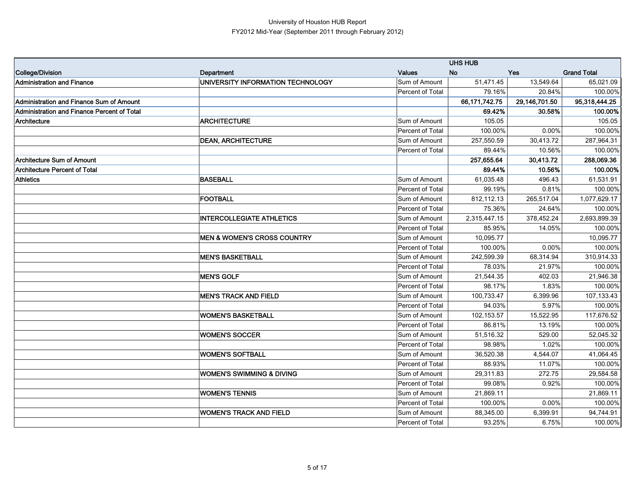|                                             |                                        |                  | <b>UHS HUB</b>   |               |                    |
|---------------------------------------------|----------------------------------------|------------------|------------------|---------------|--------------------|
| College/Division                            | Department                             | <b>Values</b>    | <b>No</b>        | <b>Yes</b>    | <b>Grand Total</b> |
| <b>Administration and Finance</b>           | UNIVERSITY INFORMATION TECHNOLOGY      | Sum of Amount    | 51,471.45        | 13,549.64     | 65,021.09          |
|                                             |                                        | Percent of Total | 79.16%           | 20.84%        | 100.00%            |
| Administration and Finance Sum of Amount    |                                        |                  | 66, 171, 742. 75 | 29,146,701.50 | 95,318,444.25      |
| Administration and Finance Percent of Total |                                        |                  | 69.42%           | 30.58%        | 100.00%            |
| Architecture                                | <b>ARCHITECTURE</b>                    | Sum of Amount    | 105.05           |               | 105.05             |
|                                             |                                        | Percent of Total | 100.00%          | 0.00%         | 100.00%            |
|                                             | <b>DEAN, ARCHITECTURE</b>              | Sum of Amount    | 257,550.59       | 30,413.72     | 287,964.31         |
|                                             |                                        | Percent of Total | 89.44%           | 10.56%        | 100.00%            |
| <b>Architecture Sum of Amount</b>           |                                        |                  | 257,655.64       | 30,413.72     | 288,069.36         |
| Architecture Percent of Total               |                                        |                  | 89.44%           | 10.56%        | 100.00%            |
| <b>Athletics</b>                            | <b>BASEBALL</b>                        | Sum of Amount    | 61,035.48        | 496.43        | 61,531.91          |
|                                             |                                        | Percent of Total | 99.19%           | 0.81%         | 100.00%            |
|                                             | <b>FOOTBALL</b>                        | Sum of Amount    | 812,112.13       | 265,517.04    | 1,077,629.17       |
|                                             |                                        | Percent of Total | 75.36%           | 24.64%        | 100.00%            |
|                                             | <b>INTERCOLLEGIATE ATHLETICS</b>       | Sum of Amount    | 2,315,447.15     | 378,452.24    | 2,693,899.39       |
|                                             |                                        | Percent of Total | 85.95%           | 14.05%        | 100.00%            |
|                                             | <b>MEN &amp; WOMEN'S CROSS COUNTRY</b> | Sum of Amount    | 10,095.77        |               | 10,095.77          |
|                                             |                                        | Percent of Total | 100.00%          | 0.00%         | 100.00%            |
|                                             | <b>MEN'S BASKETBALL</b>                | Sum of Amount    | 242,599.39       | 68,314.94     | 310,914.33         |
|                                             |                                        | Percent of Total | 78.03%           | 21.97%        | 100.00%            |
|                                             | <b>MEN'S GOLF</b>                      | Sum of Amount    | 21,544.35        | 402.03        | 21,946.38          |
|                                             |                                        | Percent of Total | 98.17%           | 1.83%         | 100.00%            |
|                                             | <b>MEN'S TRACK AND FIELD</b>           | Sum of Amount    | 100,733.47       | 6,399.96      | 107,133.43         |
|                                             |                                        | Percent of Total | 94.03%           | 5.97%         | 100.00%            |
|                                             | <b>WOMEN'S BASKETBALL</b>              | Sum of Amount    | 102,153.57       | 15,522.95     | 117,676.52         |
|                                             |                                        | Percent of Total | 86.81%           | 13.19%        | 100.00%            |
|                                             | <b>WOMEN'S SOCCER</b>                  | Sum of Amount    | 51,516.32        | 529.00        | 52,045.32          |
|                                             |                                        | Percent of Total | 98.98%           | 1.02%         | 100.00%            |
|                                             | <b>WOMEN'S SOFTBALL</b>                | Sum of Amount    | 36,520.38        | 4,544.07      | 41,064.45          |
|                                             |                                        | Percent of Total | 88.93%           | 11.07%        | 100.00%            |
|                                             | <b>WOMEN'S SWIMMING &amp; DIVING</b>   | Sum of Amount    | 29,311.83        | 272.75        | 29,584.58          |
|                                             |                                        | Percent of Total | 99.08%           | 0.92%         | 100.00%            |
|                                             | <b>WOMEN'S TENNIS</b>                  | Sum of Amount    | 21,869.11        |               | 21,869.11          |
|                                             |                                        | Percent of Total | 100.00%          | 0.00%         | 100.00%            |
|                                             | <b>WOMEN'S TRACK AND FIELD</b>         | Sum of Amount    | 88,345.00        | 6,399.91      | 94,744.91          |
|                                             |                                        | Percent of Total | 93.25%           | 6.75%         | 100.00%            |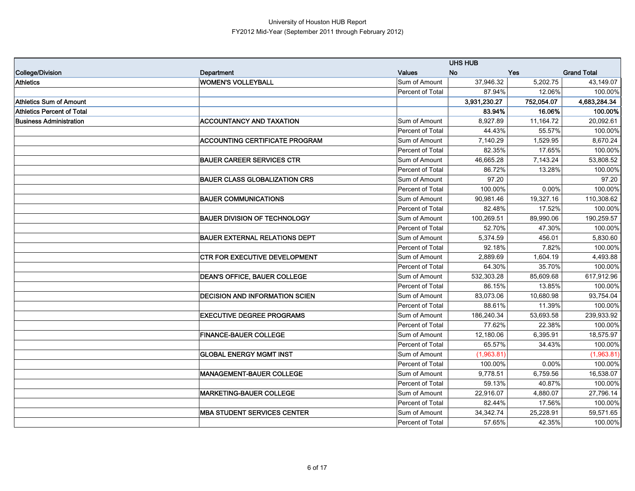|                                   |                                       |                  | <b>UHS HUB</b> |            |                    |
|-----------------------------------|---------------------------------------|------------------|----------------|------------|--------------------|
| College/Division                  | Department                            | <b>Values</b>    | <b>No</b>      | <b>Yes</b> | <b>Grand Total</b> |
| <b>Athletics</b>                  | <b>WOMEN'S VOLLEYBALL</b>             | Sum of Amount    | 37,946.32      | 5,202.75   | 43,149.07          |
|                                   |                                       | Percent of Total | 87.94%         | 12.06%     | 100.00%            |
| Athletics Sum of Amount           |                                       |                  | 3,931,230.27   | 752,054.07 | 4,683,284.34       |
| <b>Athletics Percent of Total</b> |                                       |                  | 83.94%         | 16.06%     | 100.00%            |
| <b>Business Administration</b>    | <b>ACCOUNTANCY AND TAXATION</b>       | Sum of Amount    | 8.927.89       | 11,164.72  | 20,092.61          |
|                                   |                                       | Percent of Total | 44.43%         | 55.57%     | 100.00%            |
|                                   | <b>ACCOUNTING CERTIFICATE PROGRAM</b> | Sum of Amount    | 7,140.29       | 1,529.95   | 8,670.24           |
|                                   |                                       | Percent of Total | 82.35%         | 17.65%     | 100.00%            |
|                                   | <b>BAUER CAREER SERVICES CTR</b>      | Sum of Amount    | 46,665.28      | 7,143.24   | 53,808.52          |
|                                   |                                       | Percent of Total | 86.72%         | 13.28%     | 100.00%            |
|                                   | <b>BAUER CLASS GLOBALIZATION CRS</b>  | Sum of Amount    | 97.20          |            | 97.20              |
|                                   |                                       | Percent of Total | 100.00%        | 0.00%      | 100.00%            |
|                                   | <b>BAUER COMMUNICATIONS</b>           | Sum of Amount    | 90,981.46      | 19,327.16  | 110,308.62         |
|                                   |                                       | Percent of Total | 82.48%         | 17.52%     | 100.00%            |
|                                   | <b>BAUER DIVISION OF TECHNOLOGY</b>   | Sum of Amount    | 100,269.51     | 89,990.06  | 190,259.57         |
|                                   |                                       | Percent of Total | 52.70%         | 47.30%     | 100.00%            |
|                                   | <b>BAUER EXTERNAL RELATIONS DEPT</b>  | Sum of Amount    | 5,374.59       | 456.01     | 5,830.60           |
|                                   |                                       | Percent of Total | 92.18%         | 7.82%      | 100.00%            |
|                                   | <b>CTR FOR EXECUTIVE DEVELOPMENT</b>  | Sum of Amount    | 2,889.69       | 1,604.19   | 4,493.88           |
|                                   |                                       | Percent of Total | 64.30%         | 35.70%     | 100.00%            |
|                                   | <b>DEAN'S OFFICE, BAUER COLLEGE</b>   | Sum of Amount    | 532,303.28     | 85,609.68  | 617,912.96         |
|                                   |                                       | Percent of Total | 86.15%         | 13.85%     | 100.00%            |
|                                   | <b>DECISION AND INFORMATION SCIEN</b> | Sum of Amount    | 83,073.06      | 10,680.98  | 93,754.04          |
|                                   |                                       | Percent of Total | 88.61%         | 11.39%     | 100.00%            |
|                                   | <b>EXECUTIVE DEGREE PROGRAMS</b>      | Sum of Amount    | 186,240.34     | 53,693.58  | 239,933.92         |
|                                   |                                       | Percent of Total | 77.62%         | 22.38%     | 100.00%            |
|                                   | <b>FINANCE-BAUER COLLEGE</b>          | Sum of Amount    | 12,180.06      | 6,395.91   | 18,575.97          |
|                                   |                                       | Percent of Total | 65.57%         | 34.43%     | 100.00%            |
|                                   | <b>GLOBAL ENERGY MGMT INST</b>        | Sum of Amount    | (1,963.81)     |            | (1,963.81)         |
|                                   |                                       | Percent of Total | 100.00%        | 0.00%      | 100.00%            |
|                                   | <b>MANAGEMENT-BAUER COLLEGE</b>       | Sum of Amount    | 9,778.51       | 6,759.56   | 16,538.07          |
|                                   |                                       | Percent of Total | 59.13%         | 40.87%     | 100.00%            |
|                                   | <b>MARKETING-BAUER COLLEGE</b>        | Sum of Amount    | 22,916.07      | 4,880.07   | 27,796.14          |
|                                   |                                       | Percent of Total | 82.44%         | 17.56%     | 100.00%            |
|                                   | <b>MBA STUDENT SERVICES CENTER</b>    | Sum of Amount    | 34, 342. 74    | 25,228.91  | 59,571.65          |
|                                   |                                       | Percent of Total | 57.65%         | 42.35%     | 100.00%            |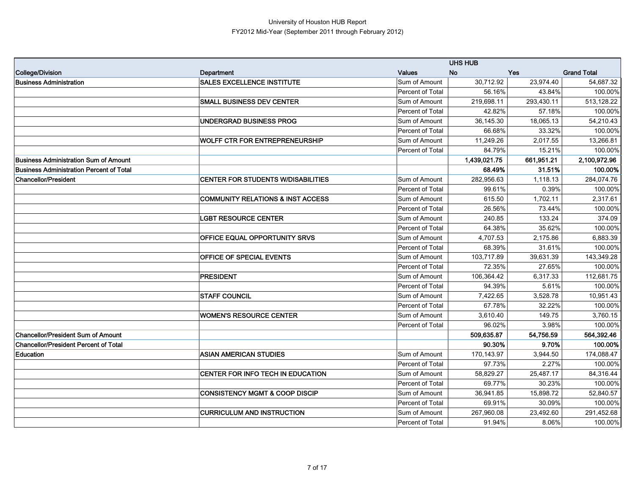|                                                 |                                              |                  | <b>UHS HUB</b> |            |                    |
|-------------------------------------------------|----------------------------------------------|------------------|----------------|------------|--------------------|
| <b>College/Division</b>                         | Department                                   | <b>Values</b>    | <b>No</b>      | <b>Yes</b> | <b>Grand Total</b> |
| <b>Business Administration</b>                  | <b>SALES EXCELLENCE INSTITUTE</b>            | Sum of Amount    | 30,712.92      | 23,974.40  | 54,687.32          |
|                                                 |                                              | Percent of Total | 56.16%         | 43.84%     | 100.00%            |
|                                                 | <b>SMALL BUSINESS DEV CENTER</b>             | Sum of Amount    | 219,698.11     | 293,430.11 | 513,128.22         |
|                                                 |                                              | Percent of Total | 42.82%         | 57.18%     | 100.00%            |
|                                                 | <b>UNDERGRAD BUSINESS PROG</b>               | Sum of Amount    | 36,145.30      | 18,065.13  | 54,210.43          |
|                                                 |                                              | Percent of Total | 66.68%         | 33.32%     | 100.00%            |
|                                                 | <b>WOLFF CTR FOR ENTREPRENEURSHIP</b>        | Sum of Amount    | 11,249.26      | 2,017.55   | 13,266.81          |
|                                                 |                                              | Percent of Total | 84.79%         | 15.21%     | 100.00%            |
| <b>Business Administration Sum of Amount</b>    |                                              |                  | 1,439,021.75   | 661,951.21 | 2,100,972.96       |
| <b>Business Administration Percent of Total</b> |                                              |                  | 68.49%         | 31.51%     | 100.00%            |
| <b>Chancellor/President</b>                     | <b>CENTER FOR STUDENTS W/DISABILITIES</b>    | Sum of Amount    | 282,956.63     | 1,118.13   | 284,074.76         |
|                                                 |                                              | Percent of Total | 99.61%         | 0.39%      | 100.00%            |
|                                                 | <b>COMMUNITY RELATIONS &amp; INST ACCESS</b> | Sum of Amount    | 615.50         | 1,702.11   | 2,317.61           |
|                                                 |                                              | Percent of Total | 26.56%         | 73.44%     | 100.00%            |
|                                                 | <b>LGBT RESOURCE CENTER</b>                  | Sum of Amount    | 240.85         | 133.24     | 374.09             |
|                                                 |                                              | Percent of Total | 64.38%         | 35.62%     | 100.00%            |
|                                                 | OFFICE EQUAL OPPORTUNITY SRVS                | Sum of Amount    | 4,707.53       | 2,175.86   | 6,883.39           |
|                                                 |                                              | Percent of Total | 68.39%         | 31.61%     | 100.00%            |
|                                                 | OFFICE OF SPECIAL EVENTS                     | Sum of Amount    | 103,717.89     | 39,631.39  | 143,349.28         |
|                                                 |                                              | Percent of Total | 72.35%         | 27.65%     | 100.00%            |
|                                                 | <b>PRESIDENT</b>                             | Sum of Amount    | 106,364.42     | 6,317.33   | 112,681.75         |
|                                                 |                                              | Percent of Total | 94.39%         | 5.61%      | 100.00%            |
|                                                 | <b>STAFF COUNCIL</b>                         | Sum of Amount    | 7,422.65       | 3,528.78   | 10,951.43          |
|                                                 |                                              | Percent of Total | 67.78%         | 32.22%     | 100.00%            |
|                                                 | <b>WOMEN'S RESOURCE CENTER</b>               | Sum of Amount    | 3,610.40       | 149.75     | 3,760.15           |
|                                                 |                                              | Percent of Total | 96.02%         | 3.98%      | 100.00%            |
| <b>Chancellor/President Sum of Amount</b>       |                                              |                  | 509,635.87     | 54,756.59  | 564,392.46         |
| <b>Chancellor/President Percent of Total</b>    |                                              |                  | 90.30%         | 9.70%      | 100.00%            |
| Education                                       | <b>ASIAN AMERICAN STUDIES</b>                | Sum of Amount    | 170,143.97     | 3,944.50   | 174,088.47         |
|                                                 |                                              | Percent of Total | 97.73%         | 2.27%      | 100.00%            |
|                                                 | CENTER FOR INFO TECH IN EDUCATION            | Sum of Amount    | 58,829.27      | 25,487.17  | 84,316.44          |
|                                                 |                                              | Percent of Total | 69.77%         | 30.23%     | 100.00%            |
|                                                 | <b>CONSISTENCY MGMT &amp; COOP DISCIP</b>    | Sum of Amount    | 36,941.85      | 15,898.72  | 52,840.57          |
|                                                 |                                              | Percent of Total | 69.91%         | 30.09%     | 100.00%            |
|                                                 | <b>CURRICULUM AND INSTRUCTION</b>            | Sum of Amount    | 267,960.08     | 23,492.60  | 291,452.68         |
|                                                 |                                              | Percent of Total | 91.94%         | 8.06%      | 100.00%            |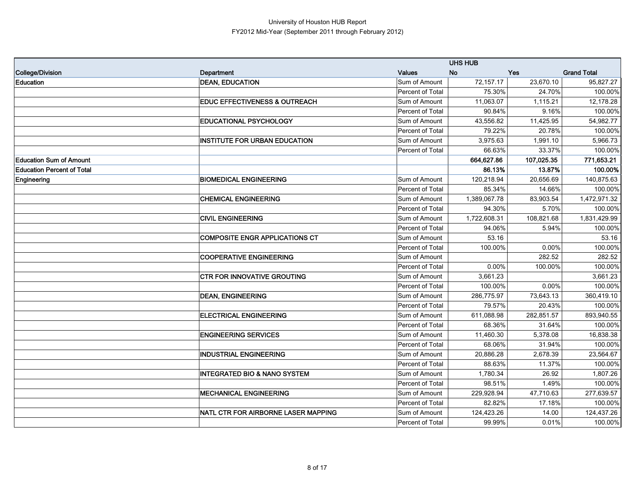|                                   |                                          |                  | <b>UHS HUB</b> |            |                    |
|-----------------------------------|------------------------------------------|------------------|----------------|------------|--------------------|
| College/Division                  | Department                               | <b>Values</b>    | <b>No</b>      | <b>Yes</b> | <b>Grand Total</b> |
| <b>Education</b>                  | <b>DEAN, EDUCATION</b>                   | Sum of Amount    | 72,157.17      | 23,670.10  | 95,827.27          |
|                                   |                                          | Percent of Total | 75.30%         | 24.70%     | 100.00%            |
|                                   | <b>EDUC EFFECTIVENESS &amp; OUTREACH</b> | Sum of Amount    | 11,063.07      | 1,115.21   | 12,178.28          |
|                                   |                                          | Percent of Total | 90.84%         | 9.16%      | 100.00%            |
|                                   | <b>EDUCATIONAL PSYCHOLOGY</b>            | Sum of Amount    | 43,556.82      | 11,425.95  | 54,982.77          |
|                                   |                                          | Percent of Total | 79.22%         | 20.78%     | 100.00%            |
|                                   | <b>INSTITUTE FOR URBAN EDUCATION</b>     | Sum of Amount    | 3,975.63       | 1,991.10   | 5,966.73           |
|                                   |                                          | Percent of Total | 66.63%         | 33.37%     | 100.00%            |
| <b>Education Sum of Amount</b>    |                                          |                  | 664,627.86     | 107,025.35 | 771,653.21         |
| <b>Education Percent of Total</b> |                                          |                  | 86.13%         | 13.87%     | 100.00%            |
| Engineering                       | <b>BIOMEDICAL ENGINEERING</b>            | Sum of Amount    | 120,218.94     | 20,656.69  | 140,875.63         |
|                                   |                                          | Percent of Total | 85.34%         | 14.66%     | 100.00%            |
|                                   | <b>CHEMICAL ENGINEERING</b>              | Sum of Amount    | 1,389,067.78   | 83,903.54  | 1,472,971.32       |
|                                   |                                          | Percent of Total | 94.30%         | 5.70%      | 100.00%            |
|                                   | <b>CIVIL ENGINEERING</b>                 | Sum of Amount    | 1,722,608.31   | 108,821.68 | 1,831,429.99       |
|                                   |                                          | Percent of Total | 94.06%         | 5.94%      | 100.00%            |
|                                   | <b>COMPOSITE ENGR APPLICATIONS CT</b>    | Sum of Amount    | 53.16          |            | 53.16              |
|                                   |                                          | Percent of Total | 100.00%        | 0.00%      | 100.00%            |
|                                   | <b>COOPERATIVE ENGINEERING</b>           | Sum of Amount    |                | 282.52     | 282.52             |
|                                   |                                          | Percent of Total | 0.00%          | 100.00%    | 100.00%            |
|                                   | <b>CTR FOR INNOVATIVE GROUTING</b>       | Sum of Amount    | 3,661.23       |            | 3,661.23           |
|                                   |                                          | Percent of Total | 100.00%        | 0.00%      | 100.00%            |
|                                   | <b>DEAN, ENGINEERING</b>                 | Sum of Amount    | 286,775.97     | 73,643.13  | 360,419.10         |
|                                   |                                          | Percent of Total | 79.57%         | 20.43%     | 100.00%            |
|                                   | <b>ELECTRICAL ENGINEERING</b>            | Sum of Amount    | 611,088.98     | 282,851.57 | 893,940.55         |
|                                   |                                          | Percent of Total | 68.36%         | 31.64%     | 100.00%            |
|                                   | <b>ENGINEERING SERVICES</b>              | Sum of Amount    | 11,460.30      | 5,378.08   | 16,838.38          |
|                                   |                                          | Percent of Total | 68.06%         | 31.94%     | 100.00%            |
|                                   | <b>INDUSTRIAL ENGINEERING</b>            | Sum of Amount    | 20,886.28      | 2,678.39   | 23,564.67          |
|                                   |                                          | Percent of Total | 88.63%         | 11.37%     | 100.00%            |
|                                   | <b>INTEGRATED BIO &amp; NANO SYSTEM</b>  | Sum of Amount    | 1,780.34       | 26.92      | 1,807.26           |
|                                   |                                          | Percent of Total | 98.51%         | 1.49%      | 100.00%            |
|                                   | <b>MECHANICAL ENGINEERING</b>            | Sum of Amount    | 229,928.94     | 47,710.63  | 277,639.57         |
|                                   |                                          | Percent of Total | 82.82%         | 17.18%     | 100.00%            |
|                                   | NATL CTR FOR AIRBORNE LASER MAPPING      | Sum of Amount    | 124,423.26     | 14.00      | 124,437.26         |
|                                   |                                          | Percent of Total | 99.99%         | 0.01%      | 100.00%            |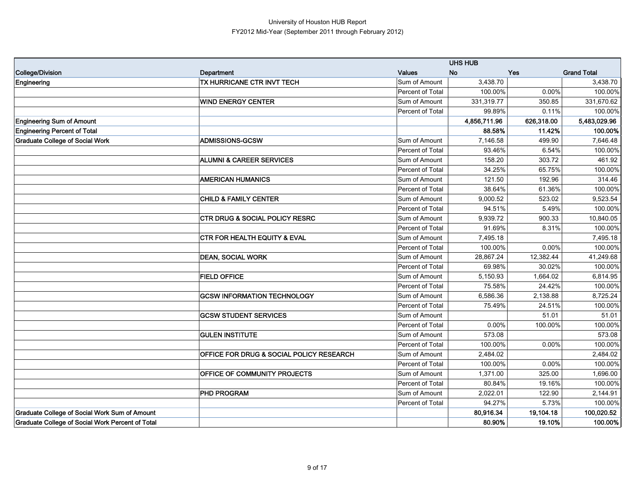|                                                  |                                           |                  | <b>UHS HUB</b> |            |                    |
|--------------------------------------------------|-------------------------------------------|------------------|----------------|------------|--------------------|
| College/Division                                 | Department                                | <b>Values</b>    | <b>No</b>      | <b>Yes</b> | <b>Grand Total</b> |
| Engineering                                      | TX HURRICANE CTR INVT TECH                | Sum of Amount    | 3,438.70       |            | 3,438.70           |
|                                                  |                                           | Percent of Total | 100.00%        | 0.00%      | 100.00%            |
|                                                  | <b>WIND ENERGY CENTER</b>                 | Sum of Amount    | 331,319.77     | 350.85     | 331,670.62         |
|                                                  |                                           | Percent of Total | 99.89%         | 0.11%      | 100.00%            |
| <b>Engineering Sum of Amount</b>                 |                                           |                  | 4,856,711.96   | 626,318.00 | 5,483,029.96       |
| <b>Engineering Percent of Total</b>              |                                           |                  | 88.58%         | 11.42%     | 100.00%            |
| <b>Graduate College of Social Work</b>           | <b>ADMISSIONS-GCSW</b>                    | Sum of Amount    | 7,146.58       | 499.90     | 7,646.48           |
|                                                  |                                           | Percent of Total | 93.46%         | 6.54%      | 100.00%            |
|                                                  | <b>ALUMNI &amp; CAREER SERVICES</b>       | Sum of Amount    | 158.20         | 303.72     | 461.92             |
|                                                  |                                           | Percent of Total | 34.25%         | 65.75%     | 100.00%            |
|                                                  | <b>AMERICAN HUMANICS</b>                  | Sum of Amount    | 121.50         | 192.96     | 314.46             |
|                                                  |                                           | Percent of Total | 38.64%         | 61.36%     | 100.00%            |
|                                                  | <b>CHILD &amp; FAMILY CENTER</b>          | Sum of Amount    | 9,000.52       | 523.02     | 9,523.54           |
|                                                  |                                           | Percent of Total | 94.51%         | 5.49%      | 100.00%            |
|                                                  | <b>CTR DRUG &amp; SOCIAL POLICY RESRC</b> | Sum of Amount    | 9,939.72       | 900.33     | 10,840.05          |
|                                                  |                                           | Percent of Total | 91.69%         | 8.31%      | 100.00%            |
|                                                  | <b>CTR FOR HEALTH EQUITY &amp; EVAL</b>   | Sum of Amount    | 7,495.18       |            | 7,495.18           |
|                                                  |                                           | Percent of Total | 100.00%        | 0.00%      | 100.00%            |
|                                                  | <b>DEAN, SOCIAL WORK</b>                  | Sum of Amount    | 28,867.24      | 12,382.44  | 41,249.68          |
|                                                  |                                           | Percent of Total | 69.98%         | 30.02%     | 100.00%            |
|                                                  | <b>FIELD OFFICE</b>                       | Sum of Amount    | 5,150.93       | 1,664.02   | 6,814.95           |
|                                                  |                                           | Percent of Total | 75.58%         | 24.42%     | 100.00%            |
|                                                  | <b>GCSW INFORMATION TECHNOLOGY</b>        | Sum of Amount    | 6,586.36       | 2,138.88   | 8,725.24           |
|                                                  |                                           | Percent of Total | 75.49%         | 24.51%     | 100.00%            |
|                                                  | <b>GCSW STUDENT SERVICES</b>              | Sum of Amount    |                | 51.01      | 51.01              |
|                                                  |                                           | Percent of Total | 0.00%          | 100.00%    | 100.00%            |
|                                                  | <b>GULEN INSTITUTE</b>                    | Sum of Amount    | 573.08         |            | 573.08             |
|                                                  |                                           | Percent of Total | 100.00%        | 0.00%      | 100.00%            |
|                                                  | OFFICE FOR DRUG & SOCIAL POLICY RESEARCH  | Sum of Amount    | 2,484.02       |            | 2,484.02           |
|                                                  |                                           | Percent of Total | 100.00%        | 0.00%      | 100.00%            |
|                                                  | <b>OFFICE OF COMMUNITY PROJECTS</b>       | Sum of Amount    | 1,371.00       | 325.00     | 1,696.00           |
|                                                  |                                           | Percent of Total | 80.84%         | 19.16%     | 100.00%            |
|                                                  | <b>PHD PROGRAM</b>                        | Sum of Amount    | 2,022.01       | 122.90     | 2,144.91           |
|                                                  |                                           | Percent of Total | 94.27%         | 5.73%      | 100.00%            |
| Graduate College of Social Work Sum of Amount    |                                           |                  | 80.916.34      | 19,104.18  | 100,020.52         |
| Graduate College of Social Work Percent of Total |                                           |                  | 80.90%         | 19.10%     | 100.00%            |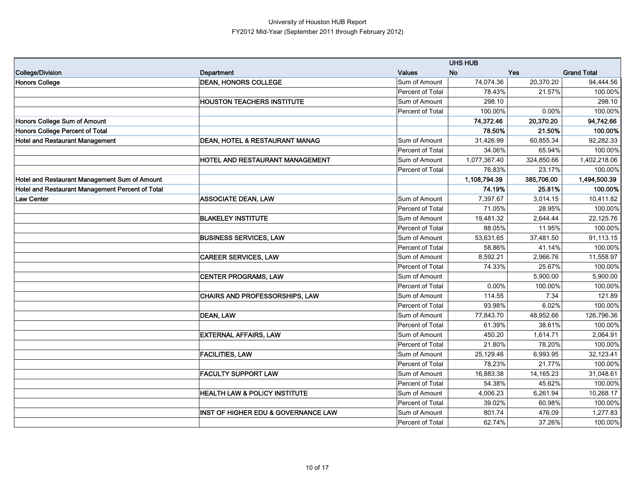|                                                  |                                          |                  | <b>UHS HUB</b> |             |                    |
|--------------------------------------------------|------------------------------------------|------------------|----------------|-------------|--------------------|
| College/Division                                 | Department                               | <b>Values</b>    | <b>No</b>      | <b>Yes</b>  | <b>Grand Total</b> |
| <b>Honors College</b>                            | <b>DEAN, HONORS COLLEGE</b>              | Sum of Amount    | 74,074.36      | 20,370.20   | 94,444.56          |
|                                                  |                                          | Percent of Total | 78.43%         | 21.57%      | 100.00%            |
|                                                  | <b>HOUSTON TEACHERS INSTITUTE</b>        | Sum of Amount    | 298.10         |             | 298.10             |
|                                                  |                                          | Percent of Total | 100.00%        | 0.00%       | 100.00%            |
| Honors College Sum of Amount                     |                                          |                  | 74,372.46      | 20,370.20   | 94,742.66          |
| Honors College Percent of Total                  |                                          |                  | 78.50%         | 21.50%      | 100.00%            |
| <b>Hotel and Restaurant Management</b>           | DEAN, HOTEL & RESTAURANT MANAG           | Sum of Amount    | 31,426.99      | 60,855.34   | 92,282.33          |
|                                                  |                                          | Percent of Total | 34.06%         | 65.94%      | 100.00%            |
|                                                  | HOTEL AND RESTAURANT MANAGEMENT          | Sum of Amount    | 1,077,367.40   | 324,850.66  | 1,402,218.06       |
|                                                  |                                          | Percent of Total | 76.83%         | 23.17%      | 100.00%            |
| Hotel and Restaurant Management Sum of Amount    |                                          |                  | 1,108,794.39   | 385,706.00  | 1,494,500.39       |
| Hotel and Restaurant Management Percent of Total |                                          |                  | 74.19%         | 25.81%      | 100.00%            |
| <b>Law Center</b>                                | <b>ASSOCIATE DEAN, LAW</b>               | Sum of Amount    | 7,397.67       | 3,014.15    | 10,411.82          |
|                                                  |                                          | Percent of Total | 71.05%         | 28.95%      | 100.00%            |
|                                                  | <b>BLAKELEY INSTITUTE</b>                | Sum of Amount    | 19,481.32      | 2,644.44    | 22,125.76          |
|                                                  |                                          | Percent of Total | 88.05%         | 11.95%      | 100.00%            |
|                                                  | <b>BUSINESS SERVICES, LAW</b>            | Sum of Amount    | 53,631.65      | 37,481.50   | 91,113.15          |
|                                                  |                                          | Percent of Total | 58.86%         | 41.14%      | 100.00%            |
|                                                  | <b>CAREER SERVICES, LAW</b>              | Sum of Amount    | 8,592.21       | 2,966.76    | 11,558.97          |
|                                                  |                                          | Percent of Total | 74.33%         | 25.67%      | 100.00%            |
|                                                  | <b>CENTER PROGRAMS, LAW</b>              | Sum of Amount    |                | 5,900.00    | 5,900.00           |
|                                                  |                                          | Percent of Total | 0.00%          | 100.00%     | 100.00%            |
|                                                  | CHAIRS AND PROFESSORSHIPS, LAW           | Sum of Amount    | 114.55         | 7.34        | 121.89             |
|                                                  |                                          | Percent of Total | 93.98%         | 6.02%       | 100.00%            |
|                                                  | <b>DEAN, LAW</b>                         | Sum of Amount    | 77,843.70      | 48,952.66   | 126,796.36         |
|                                                  |                                          | Percent of Total | 61.39%         | 38.61%      | 100.00%            |
|                                                  | <b>EXTERNAL AFFAIRS, LAW</b>             | Sum of Amount    | 450.20         | 1,614.71    | 2,064.91           |
|                                                  |                                          | Percent of Total | 21.80%         | 78.20%      | 100.00%            |
|                                                  | <b>FACILITIES, LAW</b>                   | Sum of Amount    | 25,129.46      | 6,993.95    | 32,123.41          |
|                                                  |                                          | Percent of Total | 78.23%         | 21.77%      | 100.00%            |
|                                                  | <b>FACULTY SUPPORT LAW</b>               | Sum of Amount    | 16,883.38      | 14, 165. 23 | 31,048.61          |
|                                                  |                                          | Percent of Total | 54.38%         | 45.62%      | 100.00%            |
|                                                  | <b>HEALTH LAW &amp; POLICY INSTITUTE</b> | Sum of Amount    | 4,006.23       | 6,261.94    | 10,268.17          |
|                                                  |                                          | Percent of Total | 39.02%         | 60.98%      | 100.00%            |
|                                                  | INST OF HIGHER EDU & GOVERNANCE LAW      | Sum of Amount    | 801.74         | 476.09      | 1,277.83           |
|                                                  |                                          | Percent of Total | 62.74%         | 37.26%      | 100.00%            |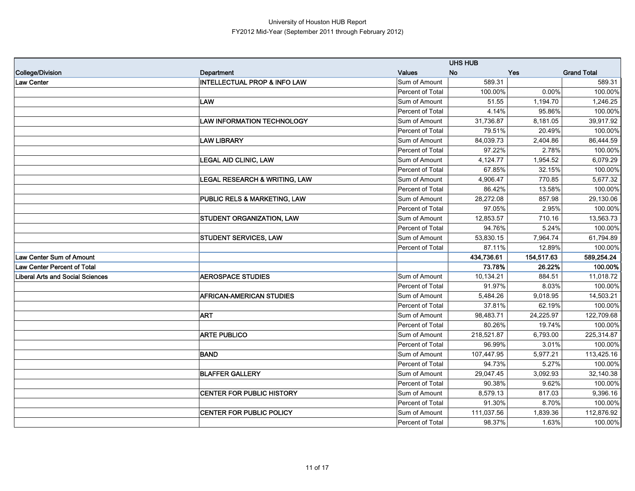|                                         |                                         |                  | <b>UHS HUB</b> |            |                    |
|-----------------------------------------|-----------------------------------------|------------------|----------------|------------|--------------------|
| College/Division                        | Department                              | <b>Values</b>    | <b>No</b>      | <b>Yes</b> | <b>Grand Total</b> |
| Law Center                              | <b>INTELLECTUAL PROP &amp; INFO LAW</b> | Sum of Amount    | 589.31         |            | 589.31             |
|                                         |                                         | Percent of Total | 100.00%        | 0.00%      | 100.00%            |
|                                         | LAW                                     | Sum of Amount    | 51.55          | 1,194.70   | 1,246.25           |
|                                         |                                         | Percent of Total | 4.14%          | 95.86%     | 100.00%            |
|                                         | <b>LAW INFORMATION TECHNOLOGY</b>       | Sum of Amount    | 31,736.87      | 8,181.05   | 39,917.92          |
|                                         |                                         | Percent of Total | 79.51%         | 20.49%     | 100.00%            |
|                                         | <b>LAW LIBRARY</b>                      | Sum of Amount    | 84,039.73      | 2,404.86   | 86,444.59          |
|                                         |                                         | Percent of Total | 97.22%         | 2.78%      | 100.00%            |
|                                         | <b>LEGAL AID CLINIC, LAW</b>            | Sum of Amount    | 4,124.77       | 1,954.52   | 6,079.29           |
|                                         |                                         | Percent of Total | 67.85%         | 32.15%     | 100.00%            |
|                                         | LEGAL RESEARCH & WRITING, LAW           | Sum of Amount    | 4,906.47       | 770.85     | 5,677.32           |
|                                         |                                         | Percent of Total | 86.42%         | 13.58%     | 100.00%            |
|                                         | <b>PUBLIC RELS &amp; MARKETING, LAW</b> | Sum of Amount    | 28,272.08      | 857.98     | 29,130.06          |
|                                         |                                         | Percent of Total | 97.05%         | 2.95%      | 100.00%            |
|                                         | STUDENT ORGANIZATION, LAW               | Sum of Amount    | 12,853.57      | 710.16     | 13,563.73          |
|                                         |                                         | Percent of Total | 94.76%         | 5.24%      | 100.00%            |
|                                         | <b>STUDENT SERVICES, LAW</b>            | Sum of Amount    | 53,830.15      | 7,964.74   | 61,794.89          |
|                                         |                                         | Percent of Total | 87.11%         | 12.89%     | 100.00%            |
| Law Center Sum of Amount                |                                         |                  | 434,736.61     | 154,517.63 | 589,254.24         |
| <b>Law Center Percent of Total</b>      |                                         |                  | 73.78%         | 26.22%     | 100.00%            |
| <b>Liberal Arts and Social Sciences</b> | <b>AEROSPACE STUDIES</b>                | Sum of Amount    | 10,134.21      | 884.51     | 11,018.72          |
|                                         |                                         | Percent of Total | 91.97%         | 8.03%      | 100.00%            |
|                                         | <b>AFRICAN-AMERICAN STUDIES</b>         | Sum of Amount    | 5,484.26       | 9,018.95   | 14,503.21          |
|                                         |                                         | Percent of Total | 37.81%         | 62.19%     | 100.00%            |
|                                         | <b>ART</b>                              | Sum of Amount    | 98,483.71      | 24,225.97  | 122,709.68         |
|                                         |                                         | Percent of Total | 80.26%         | 19.74%     | 100.00%            |
|                                         | <b>ARTE PUBLICO</b>                     | Sum of Amount    | 218,521.87     | 6,793.00   | 225,314.87         |
|                                         |                                         | Percent of Total | 96.99%         | 3.01%      | 100.00%            |
|                                         | <b>BAND</b>                             | Sum of Amount    | 107,447.95     | 5,977.21   | 113,425.16         |
|                                         |                                         | Percent of Total | 94.73%         | 5.27%      | 100.00%            |
|                                         | <b>BLAFFER GALLERY</b>                  | Sum of Amount    | 29,047.45      | 3,092.93   | 32,140.38          |
|                                         |                                         | Percent of Total | 90.38%         | 9.62%      | 100.00%            |
|                                         | CENTER FOR PUBLIC HISTORY               | Sum of Amount    | 8,579.13       | 817.03     | 9,396.16           |
|                                         |                                         | Percent of Total | 91.30%         | 8.70%      | 100.00%            |
|                                         | CENTER FOR PUBLIC POLICY                | Sum of Amount    | 111,037.56     | 1,839.36   | 112,876.92         |
|                                         |                                         | Percent of Total | 98.37%         | 1.63%      | 100.00%            |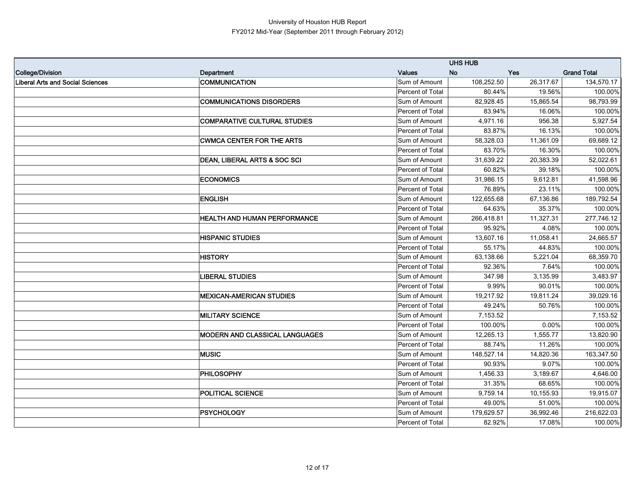|                                         |                                     |                  | <b>UHS HUB</b> |            |                    |
|-----------------------------------------|-------------------------------------|------------------|----------------|------------|--------------------|
| College/Division                        | Department                          | <b>Values</b>    | <b>No</b>      | <b>Yes</b> | <b>Grand Total</b> |
| <b>Liberal Arts and Social Sciences</b> | <b>COMMUNICATION</b>                | Sum of Amount    | 108,252.50     | 26,317.67  | 134,570.17         |
|                                         |                                     | Percent of Total | 80.44%         | 19.56%     | 100.00%            |
|                                         | <b>COMMUNICATIONS DISORDERS</b>     | Sum of Amount    | 82,928.45      | 15,865.54  | 98,793.99          |
|                                         |                                     | Percent of Total | 83.94%         | 16.06%     | 100.00%            |
|                                         | <b>COMPARATIVE CULTURAL STUDIES</b> | Sum of Amount    | 4,971.16       | 956.38     | 5,927.54           |
|                                         |                                     | Percent of Total | 83.87%         | 16.13%     | 100.00%            |
|                                         | <b>CWMCA CENTER FOR THE ARTS</b>    | Sum of Amount    | 58,328.03      | 11,361.09  | 69,689.12          |
|                                         |                                     | Percent of Total | 83.70%         | 16.30%     | 100.00%            |
|                                         | DEAN, LIBERAL ARTS & SOC SCI        | Sum of Amount    | 31.639.22      | 20,383.39  | 52,022.61          |
|                                         |                                     | Percent of Total | 60.82%         | 39.18%     | 100.00%            |
|                                         | <b>ECONOMICS</b>                    | Sum of Amount    | 31,986.15      | 9.612.81   | 41,598.96          |
|                                         |                                     | Percent of Total | 76.89%         | 23.11%     | 100.00%            |
|                                         | <b>ENGLISH</b>                      | Sum of Amount    | 122,655.68     | 67,136.86  | 189,792.54         |
|                                         |                                     | Percent of Total | 64.63%         | 35.37%     | 100.00%            |
|                                         | <b>HEALTH AND HUMAN PERFORMANCE</b> | Sum of Amount    | 266,418.81     | 11,327.31  | 277,746.12         |
|                                         |                                     | Percent of Total | 95.92%         | 4.08%      | 100.00%            |
|                                         | <b>HISPANIC STUDIES</b>             | Sum of Amount    | 13,607.16      | 11,058.41  | 24,665.57          |
|                                         |                                     | Percent of Total | 55.17%         | 44.83%     | 100.00%            |
|                                         | <b>HISTORY</b>                      | Sum of Amount    | 63,138.66      | 5,221.04   | 68,359.70          |
|                                         |                                     | Percent of Total | 92.36%         | 7.64%      | 100.00%            |
|                                         | <b>LIBERAL STUDIES</b>              | Sum of Amount    | 347.98         | 3,135.99   | 3,483.97           |
|                                         |                                     | Percent of Total | 9.99%          | 90.01%     | 100.00%            |
|                                         | <b>MEXICAN-AMERICAN STUDIES</b>     | Sum of Amount    | 19,217.92      | 19,811.24  | 39,029.16          |
|                                         |                                     | Percent of Total | 49.24%         | 50.76%     | 100.00%            |
|                                         | <b>MILITARY SCIENCE</b>             | Sum of Amount    | 7,153.52       |            | 7,153.52           |
|                                         |                                     | Percent of Total | 100.00%        | 0.00%      | 100.00%            |
|                                         | MODERN AND CLASSICAL LANGUAGES      | Sum of Amount    | 12,265.13      | 1,555.77   | 13,820.90          |
|                                         |                                     | Percent of Total | 88.74%         | 11.26%     | 100.00%            |
|                                         | <b>MUSIC</b>                        | Sum of Amount    | 148,527.14     | 14,820.36  | 163,347.50         |
|                                         |                                     | Percent of Total | 90.93%         | 9.07%      | 100.00%            |
|                                         | <b>PHILOSOPHY</b>                   | Sum of Amount    | 1,456.33       | 3,189.67   | 4,646.00           |
|                                         |                                     | Percent of Total | 31.35%         | 68.65%     | 100.00%            |
|                                         | POLITICAL SCIENCE                   | Sum of Amount    | 9,759.14       | 10,155.93  | 19,915.07          |
|                                         |                                     | Percent of Total | 49.00%         | 51.00%     | 100.00%            |
|                                         | <b>PSYCHOLOGY</b>                   | Sum of Amount    | 179,629.57     | 36,992.46  | 216,622.03         |
|                                         |                                     | Percent of Total | 82.92%         | 17.08%     | 100.00%            |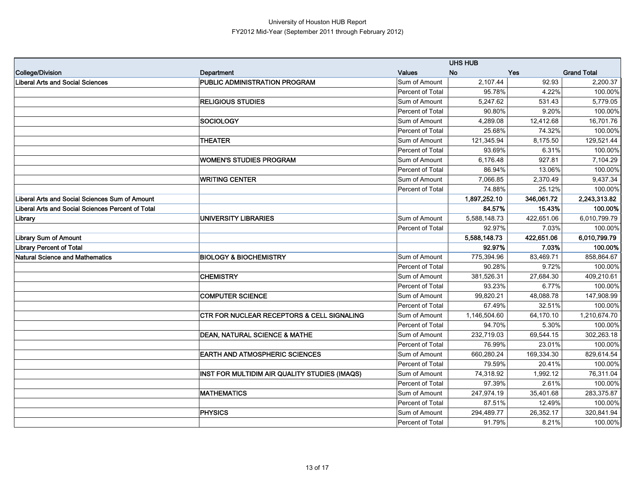|                                                   |                                                       |                  | <b>UHS HUB</b> |            |                    |
|---------------------------------------------------|-------------------------------------------------------|------------------|----------------|------------|--------------------|
| College/Division                                  | Department                                            | <b>Values</b>    | <b>No</b>      | <b>Yes</b> | <b>Grand Total</b> |
| <b>Liberal Arts and Social Sciences</b>           | <b>PUBLIC ADMINISTRATION PROGRAM</b>                  | Sum of Amount    | 2,107.44       | 92.93      | 2,200.37           |
|                                                   |                                                       | Percent of Total | 95.78%         | 4.22%      | 100.00%            |
|                                                   | <b>RELIGIOUS STUDIES</b>                              | Sum of Amount    | 5,247.62       | 531.43     | 5,779.05           |
|                                                   |                                                       | Percent of Total | 90.80%         | 9.20%      | 100.00%            |
|                                                   | <b>SOCIOLOGY</b>                                      | Sum of Amount    | 4,289.08       | 12,412.68  | 16,701.76          |
|                                                   |                                                       | Percent of Total | 25.68%         | 74.32%     | 100.00%            |
|                                                   | <b>THEATER</b>                                        | Sum of Amount    | 121,345.94     | 8,175.50   | 129,521.44         |
|                                                   |                                                       | Percent of Total | 93.69%         | 6.31%      | 100.00%            |
|                                                   | <b>WOMEN'S STUDIES PROGRAM</b>                        | Sum of Amount    | 6,176.48       | 927.81     | 7,104.29           |
|                                                   |                                                       | Percent of Total | 86.94%         | 13.06%     | 100.00%            |
|                                                   | <b>WRITING CENTER</b>                                 | Sum of Amount    | 7,066.85       | 2,370.49   | 9,437.34           |
|                                                   |                                                       | Percent of Total | 74.88%         | 25.12%     | 100.00%            |
| Liberal Arts and Social Sciences Sum of Amount    |                                                       |                  | 1,897,252.10   | 346,061.72 | 2,243,313.82       |
| Liberal Arts and Social Sciences Percent of Total |                                                       |                  | 84.57%         | 15.43%     | 100.00%            |
| Library                                           | UNIVERSITY LIBRARIES                                  | Sum of Amount    | 5,588,148.73   | 422.651.06 | 6,010,799.79       |
|                                                   |                                                       | Percent of Total | 92.97%         | 7.03%      | 100.00%            |
| <b>Library Sum of Amount</b>                      |                                                       |                  | 5,588,148.73   | 422,651.06 | 6,010,799.79       |
| <b>Library Percent of Total</b>                   |                                                       |                  | 92.97%         | 7.03%      | 100.00%            |
| <b>Natural Science and Mathematics</b>            | <b>BIOLOGY &amp; BIOCHEMISTRY</b>                     | Sum of Amount    | 775,394.96     | 83,469.71  | 858,864.67         |
|                                                   |                                                       | Percent of Total | 90.28%         | 9.72%      | 100.00%            |
|                                                   | <b>CHEMISTRY</b>                                      | Sum of Amount    | 381,526.31     | 27,684.30  | 409,210.61         |
|                                                   |                                                       | Percent of Total | 93.23%         | 6.77%      | 100.00%            |
|                                                   | <b>COMPUTER SCIENCE</b>                               | Sum of Amount    | 99,820.21      | 48,088.78  | 147,908.99         |
|                                                   |                                                       | Percent of Total | 67.49%         | 32.51%     | 100.00%            |
|                                                   | <b>CTR FOR NUCLEAR RECEPTORS &amp; CELL SIGNALING</b> | Sum of Amount    | 1,146,504.60   | 64,170.10  | 1,210,674.70       |
|                                                   |                                                       | Percent of Total | 94.70%         | 5.30%      | 100.00%            |
|                                                   | <b>DEAN, NATURAL SCIENCE &amp; MATHE</b>              | Sum of Amount    | 232,719.03     | 69,544.15  | 302,263.18         |
|                                                   |                                                       | Percent of Total | 76.99%         | 23.01%     | 100.00%            |
|                                                   | <b>EARTH AND ATMOSPHERIC SCIENCES</b>                 | Sum of Amount    | 660,280.24     | 169,334.30 | 829,614.54         |
|                                                   |                                                       | Percent of Total | 79.59%         | 20.41%     | 100.00%            |
|                                                   | INST FOR MULTIDIM AIR QUALITY STUDIES (IMAQS)         | Sum of Amount    | 74,318.92      | 1,992.12   | 76,311.04          |
|                                                   |                                                       | Percent of Total | 97.39%         | 2.61%      | 100.00%            |
|                                                   | <b>MATHEMATICS</b>                                    | Sum of Amount    | 247,974.19     | 35,401.68  | 283,375.87         |
|                                                   |                                                       | Percent of Total | 87.51%         | 12.49%     | 100.00%            |
|                                                   | PHYSICS                                               | Sum of Amount    | 294,489.77     | 26,352.17  | 320,841.94         |
|                                                   |                                                       | Percent of Total | 91.79%         | 8.21%      | 100.00%            |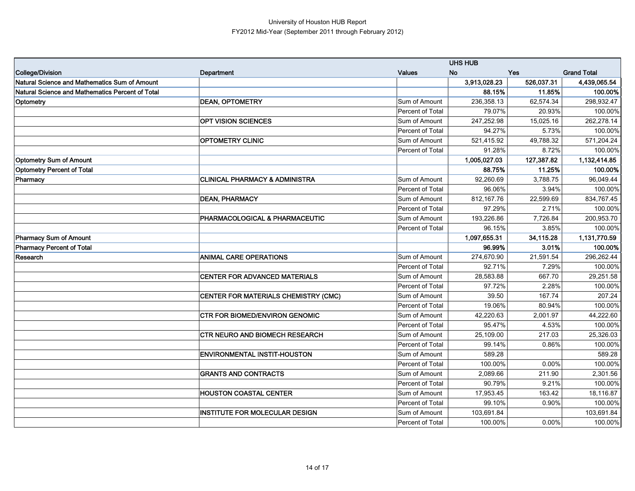|                                                  |                                           |                  | <b>UHS HUB</b> |            |                    |
|--------------------------------------------------|-------------------------------------------|------------------|----------------|------------|--------------------|
| College/Division                                 | Department                                | <b>Values</b>    | <b>No</b>      | <b>Yes</b> | <b>Grand Total</b> |
| Natural Science and Mathematics Sum of Amount    |                                           |                  | 3,913,028.23   | 526,037.31 | 4,439,065.54       |
| Natural Science and Mathematics Percent of Total |                                           |                  | 88.15%         | 11.85%     | 100.00%            |
| Optometry                                        | <b>DEAN, OPTOMETRY</b>                    | Sum of Amount    | 236,358.13     | 62,574.34  | 298,932.47         |
|                                                  |                                           | Percent of Total | 79.07%         | 20.93%     | 100.00%            |
|                                                  | OPT VISION SCIENCES                       | Sum of Amount    | 247,252.98     | 15,025.16  | 262,278.14         |
|                                                  |                                           | Percent of Total | 94.27%         | 5.73%      | 100.00%            |
|                                                  | <b>OPTOMETRY CLINIC</b>                   | Sum of Amount    | 521,415.92     | 49,788.32  | 571,204.24         |
|                                                  |                                           | Percent of Total | 91.28%         | 8.72%      | 100.00%            |
| <b>Optometry Sum of Amount</b>                   |                                           |                  | 1,005,027.03   | 127,387.82 | 1,132,414.85       |
| <b>Optometry Percent of Total</b>                |                                           |                  | 88.75%         | 11.25%     | 100.00%            |
| Pharmacy                                         | <b>CLINICAL PHARMACY &amp; ADMINISTRA</b> | Sum of Amount    | 92,260.69      | 3,788.75   | 96,049.44          |
|                                                  |                                           | Percent of Total | 96.06%         | 3.94%      | 100.00%            |
|                                                  | <b>DEAN, PHARMACY</b>                     | Sum of Amount    | 812,167.76     | 22,599.69  | 834,767.45         |
|                                                  |                                           | Percent of Total | 97.29%         | 2.71%      | 100.00%            |
|                                                  | PHARMACOLOGICAL & PHARMACEUTIC            | Sum of Amount    | 193,226.86     | 7,726.84   | 200,953.70         |
|                                                  |                                           | Percent of Total | 96.15%         | 3.85%      | 100.00%            |
| <b>Pharmacy Sum of Amount</b>                    |                                           |                  | 1,097,655.31   | 34,115.28  | 1,131,770.59       |
| <b>Pharmacy Percent of Total</b>                 |                                           |                  | 96.99%         | 3.01%      | 100.00%            |
| Research                                         | <b>ANIMAL CARE OPERATIONS</b>             | Sum of Amount    | 274,670.90     | 21,591.54  | 296,262.44         |
|                                                  |                                           | Percent of Total | 92.71%         | 7.29%      | 100.00%            |
|                                                  | <b>CENTER FOR ADVANCED MATERIALS</b>      | Sum of Amount    | 28,583.88      | 667.70     | 29,251.58          |
|                                                  |                                           | Percent of Total | 97.72%         | 2.28%      | 100.00%            |
|                                                  | CENTER FOR MATERIALS CHEMISTRY (CMC)      | Sum of Amount    | 39.50          | 167.74     | 207.24             |
|                                                  |                                           | Percent of Total | 19.06%         | 80.94%     | 100.00%            |
|                                                  | <b>CTR FOR BIOMED/ENVIRON GENOMIC</b>     | Sum of Amount    | 42,220.63      | 2,001.97   | 44,222.60          |
|                                                  |                                           | Percent of Total | 95.47%         | 4.53%      | 100.00%            |
|                                                  | CTR NEURO AND BIOMECH RESEARCH            | Sum of Amount    | 25,109.00      | 217.03     | 25,326.03          |
|                                                  |                                           | Percent of Total | 99.14%         | 0.86%      | 100.00%            |
|                                                  | <b>ENVIRONMENTAL INSTIT-HOUSTON</b>       | Sum of Amount    | 589.28         |            | 589.28             |
|                                                  |                                           | Percent of Total | 100.00%        | 0.00%      | 100.00%            |
|                                                  | <b>GRANTS AND CONTRACTS</b>               | Sum of Amount    | 2,089.66       | 211.90     | 2,301.56           |
|                                                  |                                           | Percent of Total | 90.79%         | 9.21%      | 100.00%            |
|                                                  | <b>HOUSTON COASTAL CENTER</b>             | Sum of Amount    | 17,953.45      | 163.42     | 18,116.87          |
|                                                  |                                           | Percent of Total | 99.10%         | 0.90%      | 100.00%            |
|                                                  | <b>INSTITUTE FOR MOLECULAR DESIGN</b>     | Sum of Amount    | 103,691.84     |            | 103,691.84         |
|                                                  |                                           | Percent of Total | 100.00%        | 0.00%      | 100.00%            |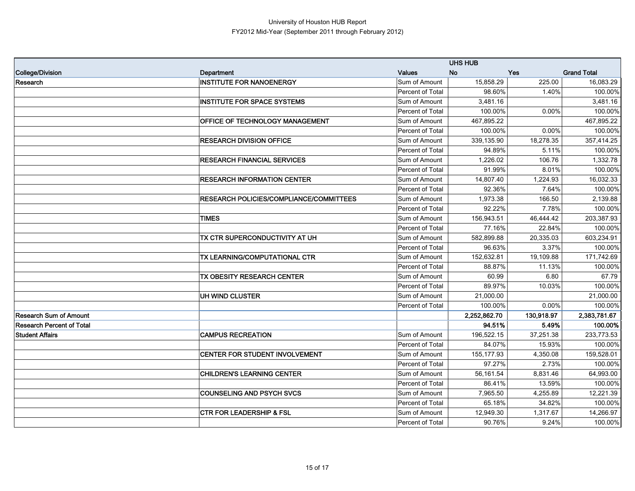|                                  |                                         |                         | <b>UHS HUB</b> |            |                    |
|----------------------------------|-----------------------------------------|-------------------------|----------------|------------|--------------------|
| College/Division                 | Department                              | <b>Values</b>           | <b>No</b>      | <b>Yes</b> | <b>Grand Total</b> |
| Research                         | <b>INSTITUTE FOR NANOENERGY</b>         | Sum of Amount           | 15,858.29      | 225.00     | 16,083.29          |
|                                  |                                         | Percent of Total        | 98.60%         | 1.40%      | 100.00%            |
|                                  | <b>INSTITUTE FOR SPACE SYSTEMS</b>      | Sum of Amount           | 3,481.16       |            | 3,481.16           |
|                                  |                                         | Percent of Total        | 100.00%        | 0.00%      | 100.00%            |
|                                  | OFFICE OF TECHNOLOGY MANAGEMENT         | Sum of Amount           | 467,895.22     |            | 467,895.22         |
|                                  |                                         | Percent of Total        | 100.00%        | 0.00%      | 100.00%            |
|                                  | <b>RESEARCH DIVISION OFFICE</b>         | Sum of Amount           | 339,135.90     | 18,278.35  | 357,414.25         |
|                                  |                                         | <b>Percent of Total</b> | 94.89%         | 5.11%      | 100.00%            |
|                                  | <b>RESEARCH FINANCIAL SERVICES</b>      | Sum of Amount           | 1,226.02       | 106.76     | 1,332.78           |
|                                  |                                         | Percent of Total        | 91.99%         | 8.01%      | 100.00%            |
|                                  | <b>RESEARCH INFORMATION CENTER</b>      | Sum of Amount           | 14,807.40      | 1,224.93   | 16,032.33          |
|                                  |                                         | Percent of Total        | 92.36%         | 7.64%      | 100.00%            |
|                                  | RESEARCH POLICIES/COMPLIANCE/COMMITTEES | Sum of Amount           | 1,973.38       | 166.50     | 2,139.88           |
|                                  |                                         | Percent of Total        | 92.22%         | 7.78%      | 100.00%            |
|                                  | <b>TIMES</b>                            | Sum of Amount           | 156,943.51     | 46,444.42  | 203,387.93         |
|                                  |                                         | Percent of Total        | 77.16%         | 22.84%     | 100.00%            |
|                                  | TX CTR SUPERCONDUCTIVITY AT UH          | Sum of Amount           | 582,899.88     | 20,335.03  | 603,234.91         |
|                                  |                                         | Percent of Total        | 96.63%         | 3.37%      | 100.00%            |
|                                  | TX LEARNING/COMPUTATIONAL CTR           | Sum of Amount           | 152,632.81     | 19,109.88  | 171,742.69         |
|                                  |                                         | Percent of Total        | 88.87%         | 11.13%     | 100.00%            |
|                                  | TX OBESITY RESEARCH CENTER              | Sum of Amount           | 60.99          | 6.80       | 67.79              |
|                                  |                                         | Percent of Total        | 89.97%         | 10.03%     | 100.00%            |
|                                  | UH WIND CLUSTER                         | Sum of Amount           | 21,000.00      |            | 21,000.00          |
|                                  |                                         | Percent of Total        | 100.00%        | 0.00%      | 100.00%            |
| Research Sum of Amount           |                                         |                         | 2,252,862.70   | 130,918.97 | 2,383,781.67       |
| <b>Research Percent of Total</b> |                                         |                         | 94.51%         | 5.49%      | 100.00%            |
| <b>Student Affairs</b>           | <b>CAMPUS RECREATION</b>                | Sum of Amount           | 196,522.15     | 37,251.38  | 233,773.53         |
|                                  |                                         | Percent of Total        | 84.07%         | 15.93%     | 100.00%            |
|                                  | <b>CENTER FOR STUDENT INVOLVEMENT</b>   | Sum of Amount           | 155, 177.93    | 4,350.08   | 159,528.01         |
|                                  |                                         | Percent of Total        | 97.27%         | 2.73%      | 100.00%            |
|                                  | <b>CHILDREN'S LEARNING CENTER</b>       | Sum of Amount           | 56,161.54      | 8,831.46   | 64,993.00          |
|                                  |                                         | Percent of Total        | 86.41%         | 13.59%     | 100.00%            |
|                                  | <b>COUNSELING AND PSYCH SVCS</b>        | Sum of Amount           | 7,965.50       | 4,255.89   | 12,221.39          |
|                                  |                                         | <b>Percent of Total</b> | 65.18%         | 34.82%     | 100.00%            |
|                                  | <b>CTR FOR LEADERSHIP &amp; FSL</b>     | Sum of Amount           | 12,949.30      | 1.317.67   | 14,266.97          |
|                                  |                                         | Percent of Total        | 90.76%         | 9.24%      | 100.00%            |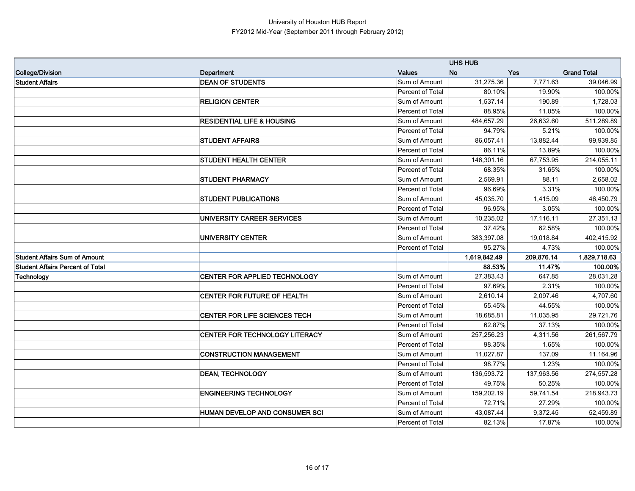|                                         |                                       |                  | <b>UHS HUB</b> |            |                    |
|-----------------------------------------|---------------------------------------|------------------|----------------|------------|--------------------|
| <b>College/Division</b>                 | Department                            | <b>Values</b>    | <b>No</b>      | <b>Yes</b> | <b>Grand Total</b> |
| <b>Student Affairs</b>                  | <b>DEAN OF STUDENTS</b>               | Sum of Amount    | 31,275.36      | 7,771.63   | 39,046.99          |
|                                         |                                       | Percent of Total | 80.10%         | 19.90%     | 100.00%            |
|                                         | <b>RELIGION CENTER</b>                | Sum of Amount    | 1,537.14       | 190.89     | 1,728.03           |
|                                         |                                       | Percent of Total | 88.95%         | 11.05%     | 100.00%            |
|                                         | <b>RESIDENTIAL LIFE &amp; HOUSING</b> | Sum of Amount    | 484,657.29     | 26,632.60  | 511,289.89         |
|                                         |                                       | Percent of Total | 94.79%         | 5.21%      | 100.00%            |
|                                         | <b>STUDENT AFFAIRS</b>                | Sum of Amount    | 86,057.41      | 13,882.44  | 99,939.85          |
|                                         |                                       | Percent of Total | 86.11%         | 13.89%     | 100.00%            |
|                                         | <b>STUDENT HEALTH CENTER</b>          | Sum of Amount    | 146,301.16     | 67,753.95  | 214,055.11         |
|                                         |                                       | Percent of Total | 68.35%         | 31.65%     | 100.00%            |
|                                         | <b>STUDENT PHARMACY</b>               | Sum of Amount    | 2,569.91       | 88.11      | 2,658.02           |
|                                         |                                       | Percent of Total | 96.69%         | 3.31%      | 100.00%            |
|                                         | <b>STUDENT PUBLICATIONS</b>           | Sum of Amount    | 45,035.70      | 1,415.09   | 46,450.79          |
|                                         |                                       | Percent of Total | 96.95%         | 3.05%      | 100.00%            |
|                                         | UNIVERSITY CAREER SERVICES            | Sum of Amount    | 10,235.02      | 17,116.11  | 27,351.13          |
|                                         |                                       | Percent of Total | 37.42%         | 62.58%     | 100.00%            |
|                                         | <b>UNIVERSITY CENTER</b>              | Sum of Amount    | 383,397.08     | 19,018.84  | 402,415.92         |
|                                         |                                       | Percent of Total | 95.27%         | 4.73%      | 100.00%            |
| <b>Student Affairs Sum of Amount</b>    |                                       |                  | 1,619,842.49   | 209,876.14 | 1,829,718.63       |
| <b>Student Affairs Percent of Total</b> |                                       |                  | 88.53%         | 11.47%     | 100.00%            |
| Technology                              | CENTER FOR APPLIED TECHNOLOGY         | Sum of Amount    | 27,383.43      | 647.85     | 28,031.28          |
|                                         |                                       | Percent of Total | 97.69%         | 2.31%      | 100.00%            |
|                                         | <b>CENTER FOR FUTURE OF HEALTH</b>    | Sum of Amount    | 2,610.14       | 2,097.46   | 4,707.60           |
|                                         |                                       | Percent of Total | 55.45%         | 44.55%     | 100.00%            |
|                                         | <b>CENTER FOR LIFE SCIENCES TECH</b>  | Sum of Amount    | 18.685.81      | 11,035.95  | 29,721.76          |
|                                         |                                       | Percent of Total | 62.87%         | 37.13%     | 100.00%            |
|                                         | CENTER FOR TECHNOLOGY LITERACY        | Sum of Amount    | 257,256.23     | 4,311.56   | 261,567.79         |
|                                         |                                       | Percent of Total | 98.35%         | 1.65%      | 100.00%            |
|                                         | <b>CONSTRUCTION MANAGEMENT</b>        | Sum of Amount    | 11,027.87      | 137.09     | 11,164.96          |
|                                         |                                       | Percent of Total | 98.77%         | 1.23%      | 100.00%            |
|                                         | <b>DEAN, TECHNOLOGY</b>               | Sum of Amount    | 136,593.72     | 137,963.56 | 274,557.28         |
|                                         |                                       | Percent of Total | 49.75%         | 50.25%     | 100.00%            |
|                                         | <b>ENGINEERING TECHNOLOGY</b>         | Sum of Amount    | 159,202.19     | 59,741.54  | 218,943.73         |
|                                         |                                       | Percent of Total | 72.71%         | 27.29%     | 100.00%            |
|                                         | <b>HUMAN DEVELOP AND CONSUMER SCI</b> | Sum of Amount    | 43,087.44      | 9,372.45   | 52,459.89          |
|                                         |                                       | Percent of Total | 82.13%         | 17.87%     | 100.00%            |